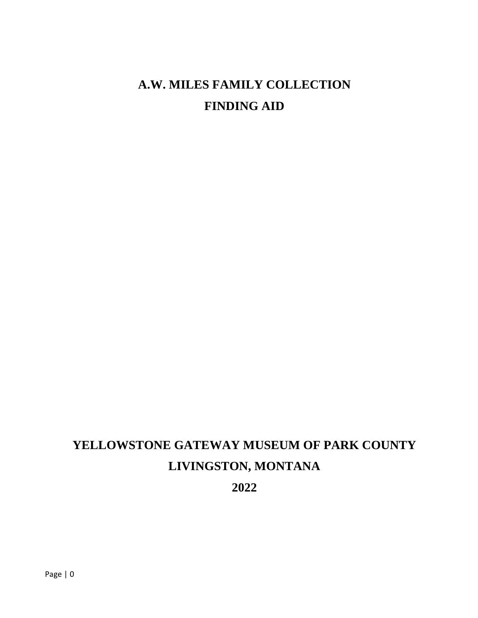## **A.W. MILES FAMILY COLLECTION FINDING AID**

# **YELLOWSTONE GATEWAY MUSEUM OF PARK COUNTY LIVINGSTON, MONTANA**

**2022**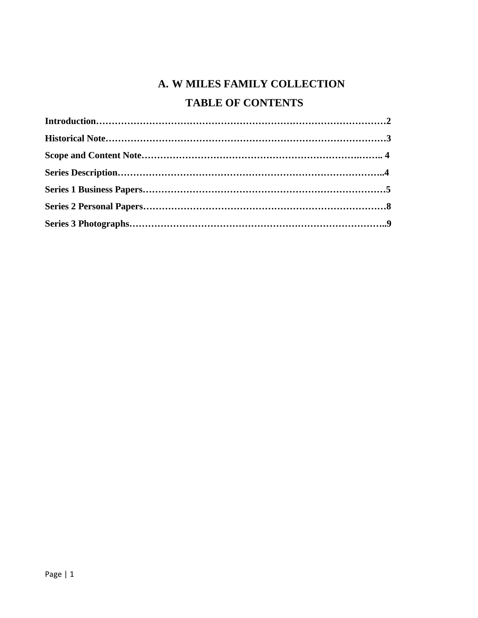## **A. W MILES FAMILY COLLECTION**

## **TABLE OF CONTENTS**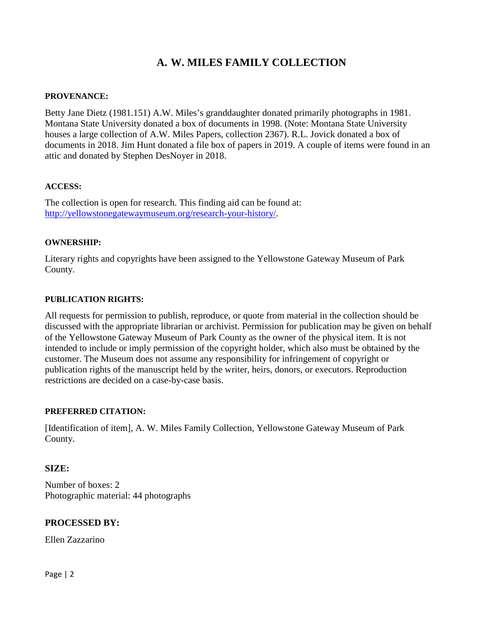## **A. W. MILES FAMILY COLLECTION**

### **PROVENANCE:**

Betty Jane Dietz (1981.151) A.W. Miles's granddaughter donated primarily photographs in 1981. Montana State University donated a box of documents in 1998. (Note: Montana State University houses a large collection of A.W. Miles Papers, collection 2367). R.L. Jovick donated a box of documents in 2018. Jim Hunt donated a file box of papers in 2019. A couple of items were found in an attic and donated by Stephen DesNoyer in 2018.

### **ACCESS:**

The collection is open for research. This finding aid can be found at: [http://yellowstonegatewaymuseum.org/research-your-history/.](http://yellowstonegatewaymuseum.org/research-your-history/)

### **OWNERSHIP:**

Literary rights and copyrights have been assigned to the Yellowstone Gateway Museum of Park County.

### **PUBLICATION RIGHTS:**

All requests for permission to publish, reproduce, or quote from material in the collection should be discussed with the appropriate librarian or archivist. Permission for publication may be given on behalf of the Yellowstone Gateway Museum of Park County as the owner of the physical item. It is not intended to include or imply permission of the copyright holder, which also must be obtained by the customer. The Museum does not assume any responsibility for infringement of copyright or publication rights of the manuscript held by the writer, heirs, donors, or executors. Reproduction restrictions are decided on a case-by-case basis.

### **PREFERRED CITATION:**

[Identification of item], A. W. Miles Family Collection, Yellowstone Gateway Museum of Park County.

### **SIZE:**

Number of boxes: 2 Photographic material: 44 photographs

### **PROCESSED BY:**

Ellen Zazzarino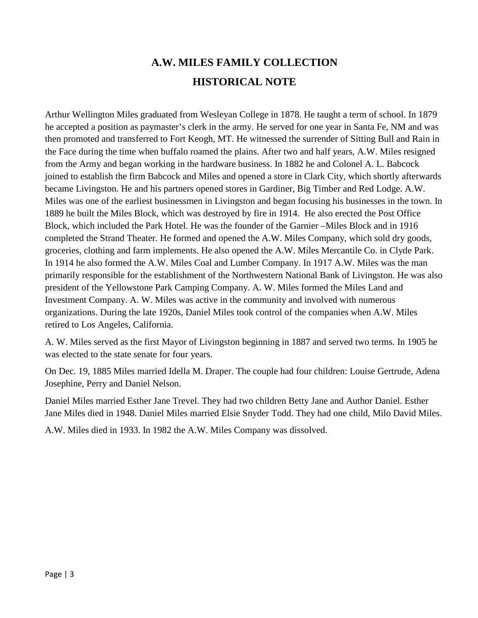## **A.W. MILES FAMILY COLLECTION HISTORICAL NOTE**

Arthur Wellington Miles graduated from Wesleyan College in 1878. He taught a term of school. In 1879 he accepted a position as paymaster's clerk in the army. He served for one year in Santa Fe, NM and was then promoted and transferred to Fort Keogh, MT. He witnessed the surrender of Sitting Bull and Rain in the Face during the time when buffalo roamed the plains. After two and half years, A.W. Miles resigned from the Army and began working in the hardware business. In 1882 he and Colonel A. L. Babcock joined to establish the firm Babcock and Miles and opened a store in Clark City, which shortly afterwards became Livingston. He and his partners opened stores in Gardiner, Big Timber and Red Lodge. A.W. Miles was one of the earliest businessmen in Livingston and began focusing his businesses in the town. In 1889 he built the Miles Block, which was destroyed by fire in 1914. He also erected the Post Office Block, which included the Park Hotel. He was the founder of the Garnier –Miles Block and in 1916 completed the Strand Theater. He formed and opened the A.W. Miles Company, which sold dry goods, groceries, clothing and farm implements. He also opened the A.W. Miles Mercantile Co. in Clyde Park. In 1914 he also formed the A.W. Miles Coal and Lumber Company. In 1917 A.W. Miles was the man primarily responsible for the establishment of the Northwestern National Bank of Livingston. He was also president of the Yellowstone Park Camping Company. A. W. Miles formed the Miles Land and Investment Company. A. W. Miles was active in the community and involved with numerous organizations. During the late 1920s, Daniel Miles took control of the companies when A.W. Miles retired to Los Angeles, California.

A. W. Miles served as the first Mayor of Livingston beginning in 1887 and served two terms. In 1905 he was elected to the state senate for four years.

On Dec. 19, 1885 Miles married Idella M. Draper. The couple had four children: Louise Gertrude, Adena Josephine, Perry and Daniel Nelson.

Daniel Miles married Esther Jane Trevel. They had two children Betty Jane and Author Daniel. Esther Jane Miles died in 1948. Daniel Miles married Elsie Snyder Todd. They had one child, Milo David Miles.

A.W. Miles died in 1933. In 1982 the A.W. Miles Company was dissolved.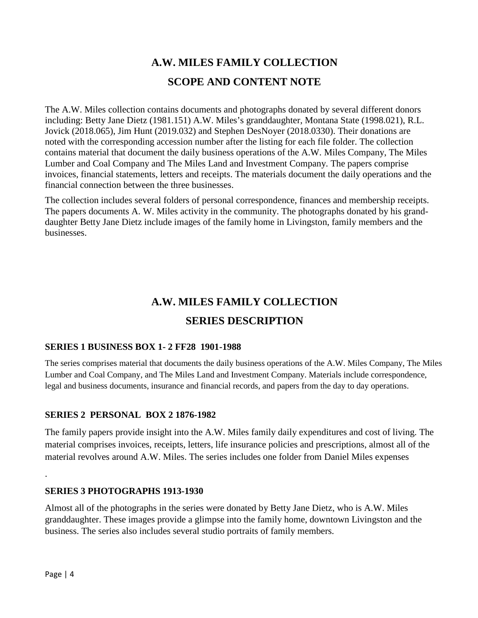## **A.W. MILES FAMILY COLLECTION SCOPE AND CONTENT NOTE**

The A.W. Miles collection contains documents and photographs donated by several different donors including: Betty Jane Dietz (1981.151) A.W. Miles's granddaughter, Montana State (1998.021), R.L. Jovick (2018.065), Jim Hunt (2019.032) and Stephen DesNoyer (2018.0330). Their donations are noted with the corresponding accession number after the listing for each file folder. The collection contains material that document the daily business operations of the A.W. Miles Company, The Miles Lumber and Coal Company and The Miles Land and Investment Company. The papers comprise invoices, financial statements, letters and receipts. The materials document the daily operations and the financial connection between the three businesses.

The collection includes several folders of personal correspondence, finances and membership receipts. The papers documents A. W. Miles activity in the community. The photographs donated by his granddaughter Betty Jane Dietz include images of the family home in Livingston, family members and the businesses.

## **A.W. MILES FAMILY COLLECTION**

## **SERIES DESCRIPTION**

### **SERIES 1 BUSINESS BOX 1- 2 FF28 1901-1988**

The series comprises material that documents the daily business operations of the A.W. Miles Company, The Miles Lumber and Coal Company, and The Miles Land and Investment Company. Materials include correspondence, legal and business documents, insurance and financial records, and papers from the day to day operations.

### **SERIES 2 PERSONAL BOX 2 1876-1982**

The family papers provide insight into the A.W. Miles family daily expenditures and cost of living. The material comprises invoices, receipts, letters, life insurance policies and prescriptions, almost all of the material revolves around A.W. Miles. The series includes one folder from Daniel Miles expenses

### **SERIES 3 PHOTOGRAPHS 1913-1930**

Almost all of the photographs in the series were donated by Betty Jane Dietz, who is A.W. Miles granddaughter. These images provide a glimpse into the family home, downtown Livingston and the business. The series also includes several studio portraits of family members.

.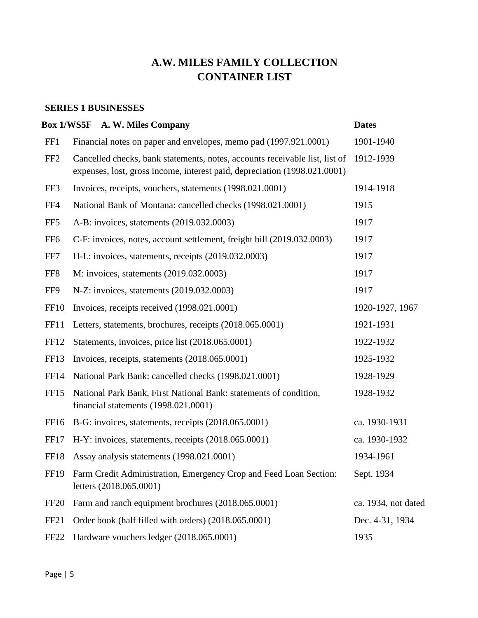## **A.W. MILES FAMILY COLLECTION CONTAINER LIST**

### **SERIES 1 BUSINESSES**

|                  | Box 1/WS5F A. W. Miles Company                                                                                                                           | <b>Dates</b>        |
|------------------|----------------------------------------------------------------------------------------------------------------------------------------------------------|---------------------|
| FF1              | Financial notes on paper and envelopes, memo pad (1997.921.0001)                                                                                         | 1901-1940           |
| FF <sub>2</sub>  | Cancelled checks, bank statements, notes, accounts receivable list, list of<br>expenses, lost, gross income, interest paid, depreciation (1998.021.0001) | 1912-1939           |
| FF3              | Invoices, receipts, vouchers, statements (1998.021.0001)                                                                                                 | 1914-1918           |
| FF4              | National Bank of Montana: cancelled checks (1998.021.0001)                                                                                               | 1915                |
| FF <sub>5</sub>  | A-B: invoices, statements (2019.032.0003)                                                                                                                | 1917                |
| FF <sub>6</sub>  | C-F: invoices, notes, account settlement, freight bill (2019.032.0003)                                                                                   | 1917                |
| FF7              | H-L: invoices, statements, receipts (2019.032.0003)                                                                                                      | 1917                |
| FF <sub>8</sub>  | M: invoices, statements (2019.032.0003)                                                                                                                  | 1917                |
| FF9              | N-Z: invoices, statements (2019.032.0003)                                                                                                                | 1917                |
| <b>FF10</b>      | Invoices, receipts received (1998.021.0001)                                                                                                              | 1920-1927, 1967     |
| FF11             | Letters, statements, brochures, receipts (2018.065.0001)                                                                                                 | 1921-1931           |
| FF12             | Statements, invoices, price list (2018.065.0001)                                                                                                         | 1922-1932           |
| FF13             | Invoices, receipts, statements (2018.065.0001)                                                                                                           | 1925-1932           |
| FF14             | National Park Bank: cancelled checks (1998.021.0001)                                                                                                     | 1928-1929           |
| FF15             | National Park Bank, First National Bank: statements of condition,<br>financial statements (1998.021.0001)                                                | 1928-1932           |
| FF <sub>16</sub> | B-G: invoices, statements, receipts (2018.065.0001)                                                                                                      | ca. 1930-1931       |
| FF17             | H-Y: invoices, statements, receipts (2018.065.0001)                                                                                                      | ca. 1930-1932       |
| FF18             | Assay analysis statements (1998.021.0001)                                                                                                                | 1934-1961           |
| FF <sub>19</sub> | Farm Credit Administration, Emergency Crop and Feed Loan Section:<br>letters (2018.065.0001)                                                             | Sept. 1934          |
| FF <sub>20</sub> | Farm and ranch equipment brochures (2018.065.0001)                                                                                                       | ca. 1934, not dated |
| FF <sub>21</sub> | Order book (half filled with orders) (2018.065.0001)                                                                                                     | Dec. 4-31, 1934     |
| FF <sub>22</sub> | Hardware vouchers ledger (2018.065.0001)                                                                                                                 | 1935                |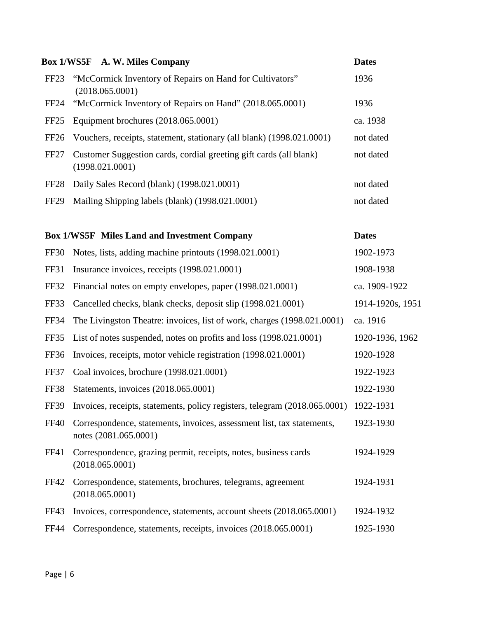|                  | <b>Box 1/WS5F</b> A. W. Miles Company                                                           | <b>Dates</b>     |
|------------------|-------------------------------------------------------------------------------------------------|------------------|
| FF <sub>23</sub> | "McCormick Inventory of Repairs on Hand for Cultivators"<br>(2018.065.0001)                     | 1936             |
| FF <sub>24</sub> | "McCormick Inventory of Repairs on Hand" (2018.065.0001)                                        | 1936             |
| FF <sub>25</sub> | Equipment brochures (2018.065.0001)                                                             | ca. 1938         |
| FF <sub>26</sub> | Vouchers, receipts, statement, stationary (all blank) (1998.021.0001)                           | not dated        |
| FF <sub>27</sub> | Customer Suggestion cards, cordial greeting gift cards (all blank)<br>(1998.021.0001)           | not dated        |
| FF <sub>28</sub> | Daily Sales Record (blank) (1998.021.0001)                                                      | not dated        |
| FF <sub>29</sub> | Mailing Shipping labels (blank) (1998.021.0001)                                                 | not dated        |
|                  |                                                                                                 |                  |
|                  | <b>Box 1/WS5F</b> Miles Land and Investment Company                                             | <b>Dates</b>     |
| <b>FF30</b>      | Notes, lists, adding machine printouts (1998.021.0001)                                          | 1902-1973        |
| <b>FF31</b>      | Insurance invoices, receipts (1998.021.0001)                                                    | 1908-1938        |
| FF32             | Financial notes on empty envelopes, paper (1998.021.0001)                                       | ca. 1909-1922    |
| FF33             | Cancelled checks, blank checks, deposit slip (1998.021.0001)                                    | 1914-1920s, 1951 |
| FF34             | The Livingston Theatre: invoices, list of work, charges (1998.021.0001)                         | ca. 1916         |
| FF35             | List of notes suspended, notes on profits and loss (1998.021.0001)                              | 1920-1936, 1962  |
| <b>FF36</b>      | Invoices, receipts, motor vehicle registration (1998.021.0001)                                  | 1920-1928        |
| FF37             | Coal invoices, brochure (1998.021.0001)                                                         | 1922-1923        |
| FF38             | Statements, invoices (2018.065.0001)                                                            | 1922-1930        |
|                  | FF39 Invoices, receipts, statements, policy registers, telegram (2018.065.0001) 1922-1931       |                  |
| <b>FF40</b>      | Correspondence, statements, invoices, assessment list, tax statements,<br>notes (2081.065.0001) | 1923-1930        |
| FF41             | Correspondence, grazing permit, receipts, notes, business cards<br>(2018.065.0001)              | 1924-1929        |
| <b>FF42</b>      | Correspondence, statements, brochures, telegrams, agreement<br>(2018.065.0001)                  | 1924-1931        |
| <b>FF43</b>      | Invoices, correspondence, statements, account sheets (2018.065.0001)                            | 1924-1932        |
| <b>FF44</b>      | Correspondence, statements, receipts, invoices (2018.065.0001)                                  | 1925-1930        |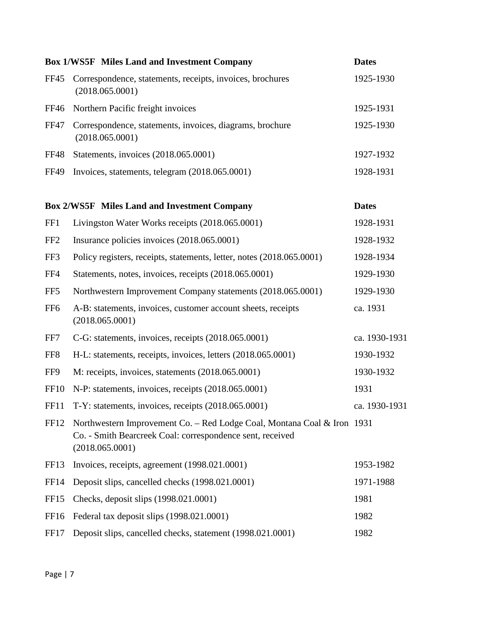|                  | <b>Box 1/WS5F</b> Miles Land and Investment Company                                                                                                     | <b>Dates</b>  |
|------------------|---------------------------------------------------------------------------------------------------------------------------------------------------------|---------------|
| <b>FF45</b>      | Correspondence, statements, receipts, invoices, brochures<br>(2018.065.0001)                                                                            | 1925-1930     |
| <b>FF46</b>      | Northern Pacific freight invoices                                                                                                                       | 1925-1931     |
| <b>FF47</b>      | Correspondence, statements, invoices, diagrams, brochure<br>(2018.065.0001)                                                                             | 1925-1930     |
| <b>FF48</b>      | Statements, invoices (2018.065.0001)                                                                                                                    | 1927-1932     |
| <b>FF49</b>      | Invoices, statements, telegram (2018.065.0001)                                                                                                          | 1928-1931     |
|                  | <b>Box 2/WS5F</b> Miles Land and Investment Company                                                                                                     | <b>Dates</b>  |
| FF1              | Livingston Water Works receipts (2018.065.0001)                                                                                                         | 1928-1931     |
| FF <sub>2</sub>  | Insurance policies invoices (2018.065.0001)                                                                                                             | 1928-1932     |
| FF3              | Policy registers, receipts, statements, letter, notes (2018.065.0001)                                                                                   | 1928-1934     |
| FF4              | Statements, notes, invoices, receipts (2018.065.0001)                                                                                                   | 1929-1930     |
| FF <sub>5</sub>  | Northwestern Improvement Company statements (2018.065.0001)                                                                                             | 1929-1930     |
| FF <sub>6</sub>  | A-B: statements, invoices, customer account sheets, receipts<br>(2018.065.0001)                                                                         | ca. 1931      |
| FF7              | C-G: statements, invoices, receipts (2018.065.0001)                                                                                                     | ca. 1930-1931 |
| FF <sub>8</sub>  | H-L: statements, receipts, invoices, letters (2018.065.0001)                                                                                            | 1930-1932     |
| FF9              | M: receipts, invoices, statements (2018.065.0001)                                                                                                       | 1930-1932     |
| <b>FF10</b>      | N-P: statements, invoices, receipts (2018.065.0001)                                                                                                     | 1931          |
| FF11             | T-Y: statements, invoices, receipts (2018.065.0001)                                                                                                     | ca. 1930-1931 |
| FF12             | Northwestern Improvement Co. - Red Lodge Coal, Montana Coal & Iron 1931<br>Co. - Smith Bearcreek Coal: correspondence sent, received<br>(2018.065.0001) |               |
| FF <sub>13</sub> | Invoices, receipts, agreement (1998.021.0001)                                                                                                           | 1953-1982     |
| FF14             | Deposit slips, cancelled checks (1998.021.0001)                                                                                                         | 1971-1988     |
| FF <sub>15</sub> | Checks, deposit slips (1998.021.0001)                                                                                                                   | 1981          |
| FF16             | Federal tax deposit slips (1998.021.0001)                                                                                                               | 1982          |
| FF17             | Deposit slips, cancelled checks, statement (1998.021.0001)                                                                                              | 1982          |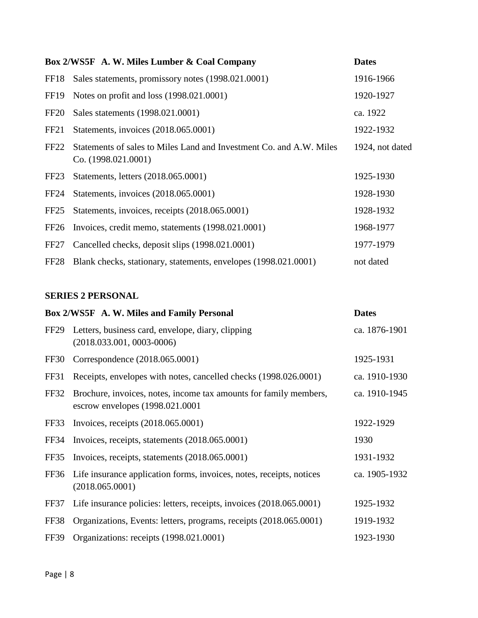|                  | Box 2/WS5F A. W. Miles Lumber & Coal Company                                               | <b>Dates</b>    |
|------------------|--------------------------------------------------------------------------------------------|-----------------|
| FF18             | Sales statements, promissory notes (1998.021.0001)                                         | 1916-1966       |
| FF <sub>19</sub> | Notes on profit and loss (1998.021.0001)                                                   | 1920-1927       |
| FF <sub>20</sub> | Sales statements (1998.021.0001)                                                           | ca. 1922        |
| FF <sub>21</sub> | Statements, invoices (2018.065.0001)                                                       | 1922-1932       |
| FF <sub>22</sub> | Statements of sales to Miles Land and Investment Co. and A.W. Miles<br>Co. (1998.021.0001) | 1924, not dated |
| FF <sub>23</sub> | Statements, letters (2018.065.0001)                                                        | 1925-1930       |
| FF <sub>24</sub> | Statements, invoices (2018.065.0001)                                                       | 1928-1930       |
| FF <sub>25</sub> | Statements, invoices, receipts (2018.065.0001)                                             | 1928-1932       |
| FF <sub>26</sub> | Invoices, credit memo, statements (1998.021.0001)                                          | 1968-1977       |
| FF <sub>27</sub> | Cancelled checks, deposit slips (1998.021.0001)                                            | 1977-1979       |
| FF <sub>28</sub> | Blank checks, stationary, statements, envelopes (1998.021.0001)                            | not dated       |

## **SERIES 2 PERSONAL**

|                  | Box 2/WS5F A. W. Miles and Family Personal                                                            | <b>Dates</b>  |
|------------------|-------------------------------------------------------------------------------------------------------|---------------|
| FF <sub>29</sub> | Letters, business card, envelope, diary, clipping<br>$(2018.033.001, 0003-0006)$                      | ca. 1876-1901 |
| FF30             | Correspondence (2018.065.0001)                                                                        | 1925-1931     |
| FF31             | Receipts, envelopes with notes, cancelled checks (1998.026.0001)                                      | ca. 1910-1930 |
| FF32             | Brochure, invoices, notes, income tax amounts for family members,<br>escrow envelopes (1998.021.0001) | ca. 1910-1945 |
| FF33             | Invoices, receipts (2018.065.0001)                                                                    | 1922-1929     |
| FF34             | Invoices, receipts, statements (2018.065.0001)                                                        | 1930          |
| FF35             | Invoices, receipts, statements (2018.065.0001)                                                        | 1931-1932     |
| FF36             | Life insurance application forms, invoices, notes, receipts, notices<br>(2018.065.0001)               | ca. 1905-1932 |
| FF37             | Life insurance policies: letters, receipts, invoices (2018.065.0001)                                  | 1925-1932     |
| FF38             | Organizations, Events: letters, programs, receipts (2018.065.0001)                                    | 1919-1932     |
| <b>FF39</b>      | Organizations: receipts (1998.021.0001)                                                               | 1923-1930     |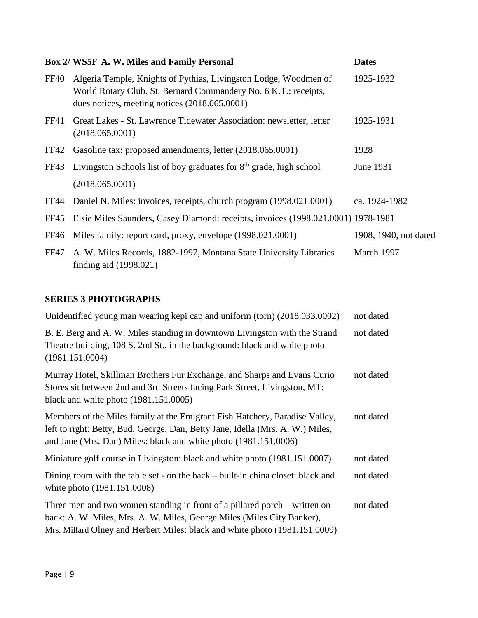|             | Box 2/ WS5F A. W. Miles and Family Personal                                                                                                                                            | <b>Dates</b>          |
|-------------|----------------------------------------------------------------------------------------------------------------------------------------------------------------------------------------|-----------------------|
| <b>FF40</b> | Algeria Temple, Knights of Pythias, Livingston Lodge, Woodmen of<br>World Rotary Club. St. Bernard Commandery No. 6 K.T.: receipts,<br>dues notices, meeting notices $(2018.065.0001)$ | 1925-1932             |
| FF41        | Great Lakes - St. Lawrence Tidewater Association: newsletter, letter<br>(2018.065.0001)                                                                                                | 1925-1931             |
| FF42        | Gasoline tax: proposed amendments, letter (2018.065.0001)                                                                                                                              | 1928                  |
| FF43        | Livingston Schools list of boy graduates for $8th$ grade, high school                                                                                                                  | June 1931             |
|             | (2018.065.0001)                                                                                                                                                                        |                       |
|             | FF44 Daniel N. Miles: invoices, receipts, church program (1998.021.0001)                                                                                                               | ca. 1924-1982         |
| FF45        | Elsie Miles Saunders, Casey Diamond: receipts, invoices (1998.021.0001) 1978-1981                                                                                                      |                       |
| FF46        | Miles family: report card, proxy, envelope (1998.021.0001)                                                                                                                             | 1908, 1940, not dated |
| FF47        | A. W. Miles Records, 1882-1997, Montana State University Libraries<br>finding aid $(1998.021)$                                                                                         | March 1997            |

| Unidentified young man wearing kepi cap and uniform (torn) (2018.033.0002)                                                                                                                                                          | not dated |
|-------------------------------------------------------------------------------------------------------------------------------------------------------------------------------------------------------------------------------------|-----------|
| B. E. Berg and A. W. Miles standing in downtown Livingston with the Strand<br>Theatre building, 108 S. 2nd St., in the background: black and white photo<br>(1981.151.0004)                                                         | not dated |
| Murray Hotel, Skillman Brothers Fur Exchange, and Sharps and Evans Curio<br>Stores sit between 2nd and 3rd Streets facing Park Street, Livingston, MT:<br>black and white photo $(1981.151.0005)$                                   | not dated |
| Members of the Miles family at the Emigrant Fish Hatchery, Paradise Valley,<br>left to right: Betty, Bud, George, Dan, Betty Jane, Idella (Mrs. A. W.) Miles,<br>and Jane (Mrs. Dan) Miles: black and white photo (1981.151.0006)   | not dated |
| Miniature golf course in Livingston: black and white photo (1981.151.0007)                                                                                                                                                          | not dated |
| Dining room with the table set - on the back – built-in china closet: black and<br>white photo (1981.151.0008)                                                                                                                      | not dated |
| Three men and two women standing in front of a pillared porch – written on<br>back: A. W. Miles, Mrs. A. W. Miles, George Miles (Miles City Banker),<br>Mrs. Millard Olney and Herbert Miles: black and white photo (1981.151.0009) | not dated |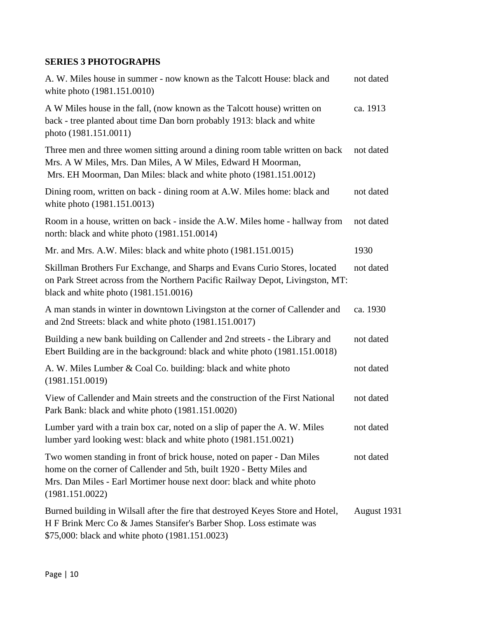| A. W. Miles house in summer - now known as the Talcott House: black and<br>white photo (1981.151.0010)                                                                                                                                      | not dated   |
|---------------------------------------------------------------------------------------------------------------------------------------------------------------------------------------------------------------------------------------------|-------------|
| A W Miles house in the fall, (now known as the Talcott house) written on<br>back - tree planted about time Dan born probably 1913: black and white<br>photo (1981.151.0011)                                                                 | ca. 1913    |
| Three men and three women sitting around a dining room table written on back<br>Mrs. A W Miles, Mrs. Dan Miles, A W Miles, Edward H Moorman,<br>Mrs. EH Moorman, Dan Miles: black and white photo (1981.151.0012)                           | not dated   |
| Dining room, written on back - dining room at A.W. Miles home: black and<br>white photo (1981.151.0013)                                                                                                                                     | not dated   |
| Room in a house, written on back - inside the A.W. Miles home - hallway from<br>north: black and white photo (1981.151.0014)                                                                                                                | not dated   |
| Mr. and Mrs. A.W. Miles: black and white photo (1981.151.0015)                                                                                                                                                                              | 1930        |
| Skillman Brothers Fur Exchange, and Sharps and Evans Curio Stores, located<br>on Park Street across from the Northern Pacific Railway Depot, Livingston, MT:<br>black and white photo $(1981.151.0016)$                                     | not dated   |
| A man stands in winter in downtown Livingston at the corner of Callender and<br>and 2nd Streets: black and white photo (1981.151.0017)                                                                                                      | ca. 1930    |
| Building a new bank building on Callender and 2nd streets - the Library and<br>Ebert Building are in the background: black and white photo (1981.151.0018)                                                                                  | not dated   |
| A. W. Miles Lumber & Coal Co. building: black and white photo<br>(1981.151.0019)                                                                                                                                                            | not dated   |
| View of Callender and Main streets and the construction of the First National<br>Park Bank: black and white photo (1981.151.0020)                                                                                                           | not dated   |
| Lumber yard with a train box car, noted on a slip of paper the A. W. Miles<br>lumber yard looking west: black and white photo (1981.151.0021)                                                                                               | not dated   |
| Two women standing in front of brick house, noted on paper - Dan Miles<br>home on the corner of Callender and 5th, built 1920 - Betty Miles and<br>Mrs. Dan Miles - Earl Mortimer house next door: black and white photo<br>(1981.151.0022) | not dated   |
| Burned building in Wilsall after the fire that destroyed Keyes Store and Hotel,<br>H F Brink Merc Co & James Stansifer's Barber Shop. Loss estimate was<br>\$75,000: black and white photo (1981.151.0023)                                  | August 1931 |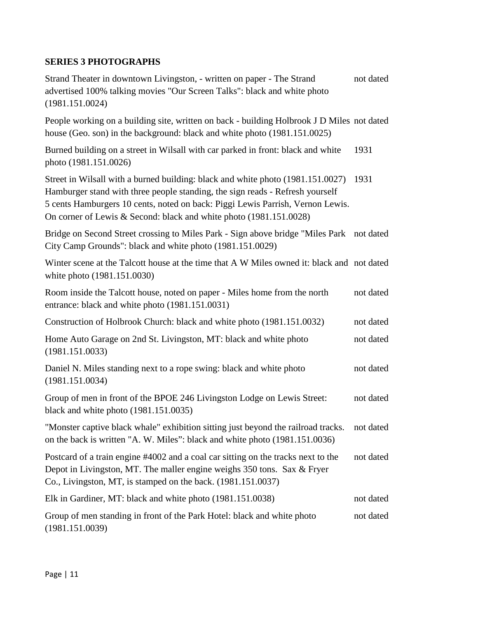Strand Theater in downtown Livingston, - written on paper - The Strand not dated advertised 100% talking movies "Our Screen Talks": black and white photo (1981.151.0024)

People working on a building site, written on back - building Holbrook J D Miles not dated house (Geo. son) in the background: black and white photo (1981.151.0025)

Burned building on a street in Wilsall with car parked in front: black and white 1931 photo (1981.151.0026)

Street in Wilsall with a burned building: black and white photo (1981.151.0027) 1931 Hamburger stand with three people standing, the sign reads - Refresh yourself 5 cents Hamburgers 10 cents, noted on back: Piggi Lewis Parrish, Vernon Lewis. On corner of Lewis & Second: black and white photo (1981.151.0028)

Bridge on Second Street crossing to Miles Park - Sign above bridge "Miles Park not dated City Camp Grounds": black and white photo (1981.151.0029)

Winter scene at the Talcott house at the time that A W Miles owned it: black and not dated white photo (1981.151.0030)

| Room inside the Talcott house, noted on paper - Miles home from the north<br>entrance: black and white photo (1981.151.0031)                                                                                                 | not dated |
|------------------------------------------------------------------------------------------------------------------------------------------------------------------------------------------------------------------------------|-----------|
| Construction of Holbrook Church: black and white photo (1981.151.0032)                                                                                                                                                       | not dated |
| Home Auto Garage on 2nd St. Livingston, MT: black and white photo<br>(1981.151.0033)                                                                                                                                         | not dated |
| Daniel N. Miles standing next to a rope swing: black and white photo<br>(1981.151.0034)                                                                                                                                      | not dated |
| Group of men in front of the BPOE 246 Livingston Lodge on Lewis Street:<br>black and white photo $(1981.151.0035)$                                                                                                           | not dated |
| "Monster captive black whale" exhibition sitting just beyond the railroad tracks.<br>on the back is written "A. W. Miles": black and white photo (1981.151.0036)                                                             | not dated |
| Postcard of a train engine #4002 and a coal car sitting on the tracks next to the<br>Depot in Livingston, MT. The maller engine weighs 350 tons. Sax & Fryer<br>Co., Livingston, MT, is stamped on the back. (1981.151.0037) | not dated |
| Elk in Gardiner, MT: black and white photo (1981.151.0038)                                                                                                                                                                   | not dated |
| Group of men standing in front of the Park Hotel: black and white photo                                                                                                                                                      | not dated |

(1981.151.0039)